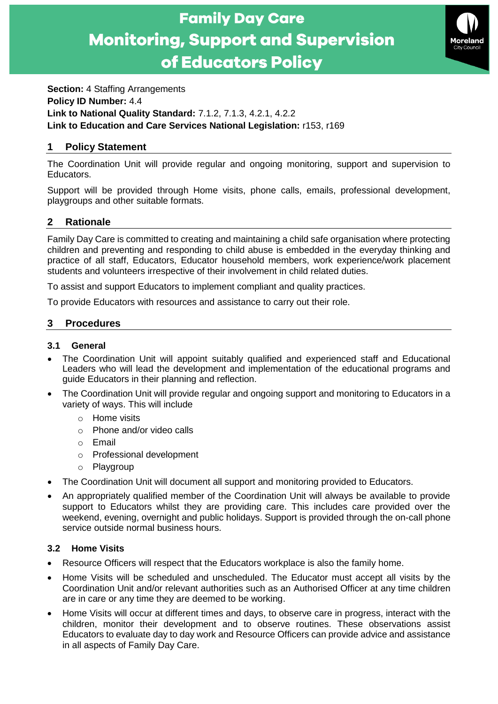



**Section:** 4 Staffing Arrangements **Policy ID Number:** 4.4 **Link to National Quality Standard:** 7.1.2, 7.1.3, 4.2.1, 4.2.2 **Link to Education and Care Services National Legislation:** r153, r169

# **1 Policy Statement**

The Coordination Unit will provide regular and ongoing monitoring, support and supervision to Educators.

Support will be provided through Home visits, phone calls, emails, professional development, playgroups and other suitable formats.

# **2 Rationale**

Family Day Care is committed to creating and maintaining a child safe organisation where protecting children and preventing and responding to child abuse is embedded in the everyday thinking and practice of all staff, Educators, Educator household members, work experience/work placement students and volunteers irrespective of their involvement in child related duties.

To assist and support Educators to implement compliant and quality practices.

To provide Educators with resources and assistance to carry out their role.

# **3 Procedures**

## **3.1 General**

- The Coordination Unit will appoint suitably qualified and experienced staff and Educational Leaders who will lead the development and implementation of the educational programs and guide Educators in their planning and reflection.
- The Coordination Unit will provide regular and ongoing support and monitoring to Educators in a variety of ways. This will include
	- o Home visits
	- o Phone and/or video calls
	- o Email
	- o Professional development
	- o Playgroup
- The Coordination Unit will document all support and monitoring provided to Educators.
- An appropriately qualified member of the Coordination Unit will always be available to provide support to Educators whilst they are providing care. This includes care provided over the weekend, evening, overnight and public holidays. Support is provided through the on-call phone service outside normal business hours.

# **3.2 Home Visits**

- Resource Officers will respect that the Educators workplace is also the family home.
- Home Visits will be scheduled and unscheduled. The Educator must accept all visits by the Coordination Unit and/or relevant authorities such as an Authorised Officer at any time children are in care or any time they are deemed to be working.
- Home Visits will occur at different times and days, to observe care in progress, interact with the children, monitor their development and to observe routines. These observations assist Educators to evaluate day to day work and Resource Officers can provide advice and assistance in all aspects of Family Day Care.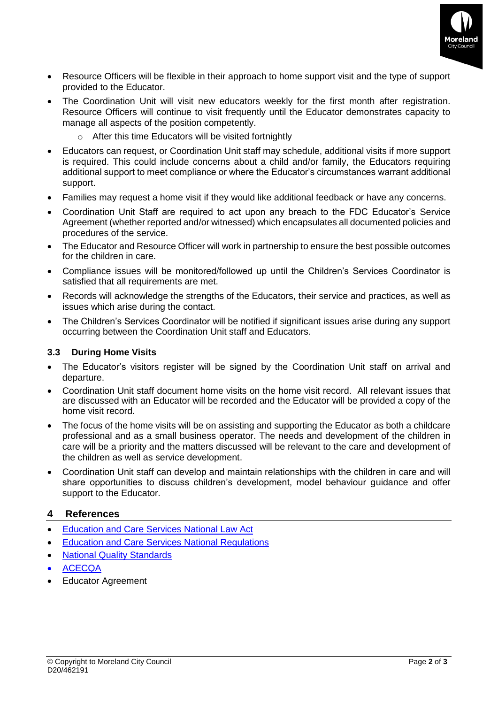

- Resource Officers will be flexible in their approach to home support visit and the type of support provided to the Educator.
- The Coordination Unit will visit new educators weekly for the first month after registration. Resource Officers will continue to visit frequently until the Educator demonstrates capacity to manage all aspects of the position competently.
	- $\circ$  After this time Educators will be visited fortnightly
- Educators can request, or Coordination Unit staff may schedule, additional visits if more support is required. This could include concerns about a child and/or family, the Educators requiring additional support to meet compliance or where the Educator's circumstances warrant additional support.
- Families may request a home visit if they would like additional feedback or have any concerns.
- Coordination Unit Staff are required to act upon any breach to the FDC Educator's Service Agreement (whether reported and/or witnessed) which encapsulates all documented policies and procedures of the service.
- The Educator and Resource Officer will work in partnership to ensure the best possible outcomes for the children in care.
- Compliance issues will be monitored/followed up until the Children's Services Coordinator is satisfied that all requirements are met.
- Records will acknowledge the strengths of the Educators, their service and practices, as well as issues which arise during the contact.
- The Children's Services Coordinator will be notified if significant issues arise during any support occurring between the Coordination Unit staff and Educators.

## **3.3 During Home Visits**

- The Educator's visitors register will be signed by the Coordination Unit staff on arrival and departure.
- Coordination Unit staff document home visits on the home visit record. All relevant issues that are discussed with an Educator will be recorded and the Educator will be provided a copy of the home visit record.
- The focus of the home visits will be on assisting and supporting the Educator as both a childcare professional and as a small business operator. The needs and development of the children in care will be a priority and the matters discussed will be relevant to the care and development of the children as well as service development.
- Coordination Unit staff can develop and maintain relationships with the children in care and will share opportunities to discuss children's development, model behaviour guidance and offer support to the Educator.

## **4 References**

- [Education and Care Services National Law Act](https://www.acecqa.gov.au/nqf/national-law-regulations/national-law)
- [Education and Care Services National Regulations](https://www.acecqa.gov.au/nqf/national-law-regulations/national-regulations)
- [National Quality Standards](https://www.acecqa.gov.au/nqf/national-quality-standard)
- [ACECQA](https://www.acecqa.gov.au/)
- Educator Agreement